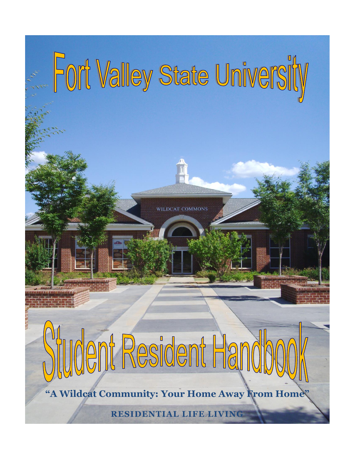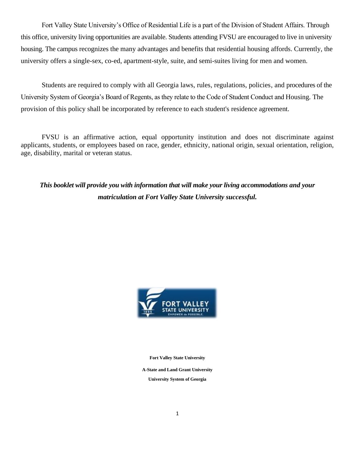Fort Valley State University's Office of Residential Life is a part of the Division of Student Affairs. Through this office, university living opportunities are available. Students attending FVSU are encouraged to live in university housing. The campus recognizes the many advantages and benefits that residential housing affords. Currently, the university offers a single-sex, co-ed, apartment-style, suite, and semi-suites living for men and women.

Students are required to comply with all Georgia laws, rules, regulations, policies, and procedures of the University System of Georgia's Board of Regents, as they relate to the Code of Student Conduct and Housing. The provision of this policy shall be incorporated by reference to each student's residence agreement.

FVSU is an affirmative action, equal opportunity institution and does not discriminate against applicants, students, or employees based on race, gender, ethnicity, national origin, sexual orientation, religion, age, disability, marital or veteran status.

*This booklet will provide you with information that will make your living accommodations and your matriculation at Fort Valley State University successful.*



**Fort Valley State University**

**A-State and Land Grant University**

**University System of Georgia**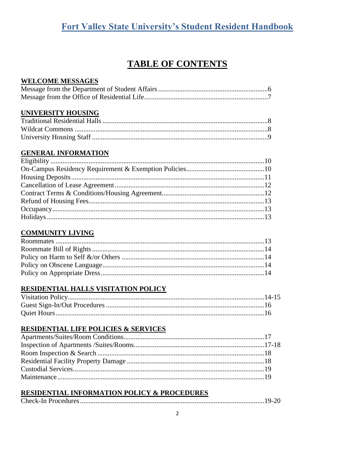# **TABLE OF CONTENTS**

#### **WELCOME MESSAGES**

#### **UNIVERSITY HOUSING**

#### **GENERAL INFORMATION**

#### **COMMUNITY LIVING**

#### RESIDENTIAL HALLS VISITATION POLICY

#### **RESIDENTIAL LIFE POLICIES & SERVICES**

#### **RESIDENTIAL INFORMATION POLICY & PROCEDURES**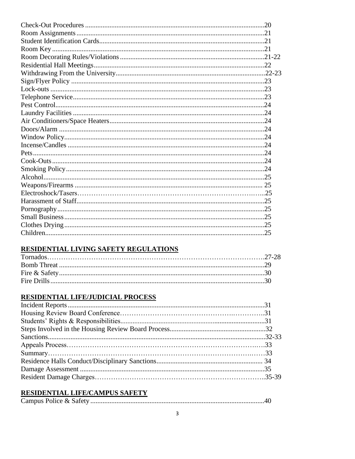#### RESIDENTIAL LIVING SAFETY REGULATIONS

## RESIDENTIAL LIFE/JUDICIAL PROCESS

#### RESIDENTIAL LIFE/CAMPUS SAFETY

|--|--|--|--|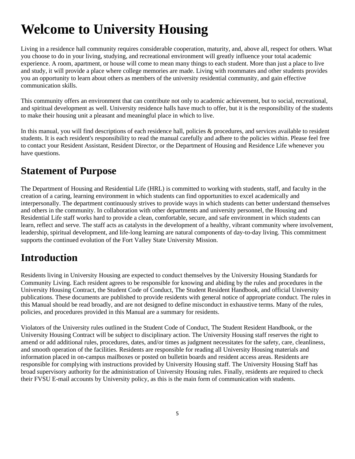# **Welcome to University Housing**

Living in a residence hall community requires considerable cooperation, maturity, and, above all, respect for others. What you choose to do in your living, studying, and recreational environment will greatly influence your total academic experience. A room, apartment, or house will come to mean many things to each student. More than just a place to live and study, it will provide a place where college memories are made. Living with roommates and other students provides you an opportunity to learn about others as members of the university residential community, and gain effective communication skills.

This community offers an environment that can contribute not only to academic achievement, but to social, recreational, and spiritual development as well. University residence halls have much to offer, but it is the responsibility of the students to make their housing unit a pleasant and meaningful place in which to live.

In this manual, you will find descriptions of each residence hall, policies & procedures, and services available to resident students. It is each resident's responsibility to read the manual carefully and adhere to the policies within. Please feel free to contact your Resident Assistant, Resident Director, or the Department of Housing and Residence Life whenever you have questions.

# **Statement of Purpose**

The Department of Housing and Residential Life (HRL) is committed to working with students, staff, and faculty in the creation of a caring, learning environment in which students can find opportunities to excel academically and interpersonally. The department continuously strives to provide ways in which students can better understand themselves and others in the community. In collaboration with other departments and university personnel, the Housing and Residential Life staff works hard to provide a clean, comfortable, secure, and safe environment in which students can learn, reflect and serve. The staff acts as catalysts in the development of a healthy, vibrant community where involvement, leadership, spiritual development, and life-long learning are natural components of day-to-day living. This commitment supports the continued evolution of the Fort Valley State University Mission.

# **Introduction**

Residents living in University Housing are expected to conduct themselves by the University Housing Standards for Community Living. Each resident agrees to be responsible for knowing and abiding by the rules and procedures in the University Housing Contract, the Student Code of Conduct, The Student Resident Handbook, and official University publications. These documents are published to provide residents with general notice of appropriate conduct. The rules in this Manual should be read broadly, and are not designed to define misconduct in exhaustive terms. Many of the rules, policies, and procedures provided in this Manual are a summary for residents.

Violators of the University rules outlined in the Student Code of Conduct, The Student Resident Handbook, or the University Housing Contract will be subject to disciplinary action. The University Housing staff reserves the right to amend or add additional rules, procedures, dates, and/or times as judgment necessitates for the safety, care, cleanliness, and smooth operation of the facilities. Residents are responsible for reading all University Housing materials and information placed in on-campus mailboxes or posted on bulletin boards and resident access areas. Residents are responsible for complying with instructions provided by University Housing staff. The University Housing Staff has broad supervisory authority for the administration of University Housing rules. Finally, residents are required to check their FVSU E-mail accounts by University policy, as this is the main form of communication with students.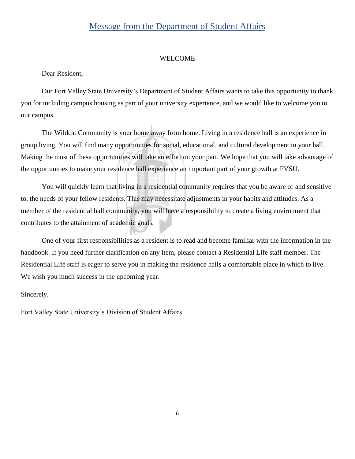## Message from the Department of Student Affairs

#### WELCOME

Dear Resident,

Our Fort Valley State University's Department of Student Affairs wants to take this opportunity to thank you for including campus housing as part of your university experience, and we would like to welcome you to our campus.

The Wildcat Community is your home away from home. Living in a residence hall is an experience in group living. You will find many opportunities for social, educational, and cultural development in your hall. Making the most of these opportunities will take an effort on your part. We hope that you will take advantage of the opportunities to make your residence hall experience an important part of your growth at FVSU.

You will quickly learn that living in a residential community requires that you be aware of and sensitive to, the needs of your fellow residents. This may necessitate adjustments in your habits and attitudes. As a member of the residential hall community, you will have a responsibility to create a living environment that contributes to the attainment of academic goals.

One of your first responsibilities as a resident is to read and become familiar with the information in the handbook. If you need further clarification on any item, please contact a Residential Life staff member. The Residential Life staff is eager to serve you in making the residence halls a comfortable place in which to live. We wish you much success in the upcoming year.

Sincerely,

Fort Valley State University's Division of Student Affairs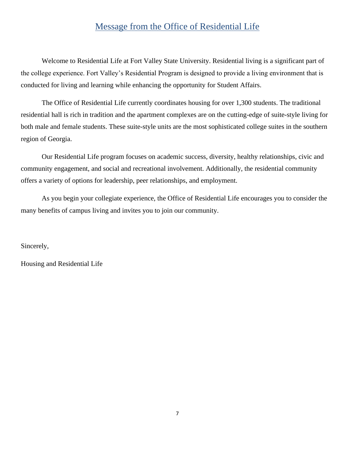## Message from the Office of Residential Life

Welcome to Residential Life at Fort Valley State University. Residential living is a significant part of the college experience. Fort Valley's Residential Program is designed to provide a living environment that is conducted for living and learning while enhancing the opportunity for Student Affairs.

The Office of Residential Life currently coordinates housing for over 1,300 students. The traditional residential hall is rich in tradition and the apartment complexes are on the cutting-edge of suite-style living for both male and female students. These suite-style units are the most sophisticated college suites in the southern region of Georgia.

Our Residential Life program focuses on academic success, diversity, healthy relationships, civic and community engagement, and social and recreational involvement. Additionally, the residential community offers a variety of options for leadership, peer relationships, and employment.

As you begin your collegiate experience, the Office of Residential Life encourages you to consider the many benefits of campus living and invites you to join our community.

Sincerely,

Housing and Residential Life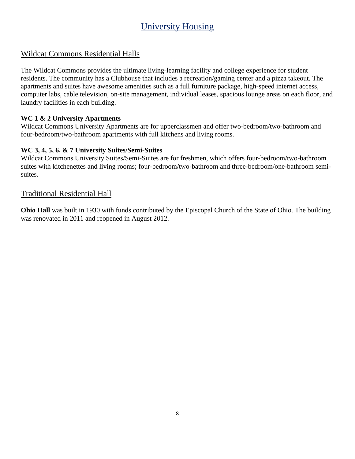# University Housing

#### Wildcat Commons Residential Halls

The Wildcat Commons provides the ultimate living-learning facility and college experience for student residents. The community has a Clubhouse that includes a recreation/gaming center and a pizza takeout. The apartments and suites have awesome amenities such as a full furniture package, high-speed internet access, computer labs, cable television, on-site management, individual leases, spacious lounge areas on each floor, and laundry facilities in each building.

#### **WC 1 & 2 University Apartments**

Wildcat Commons University Apartments are for upperclassmen and offer two-bedroom/two-bathroom and four-bedroom/two-bathroom apartments with full kitchens and living rooms.

#### **WC 3, 4, 5, 6, & 7 University Suites/Semi-Suites**

Wildcat Commons University Suites/Semi-Suites are for freshmen, which offers four-bedroom/two-bathroom suites with kitchenettes and living rooms; four-bedroom/two-bathroom and three-bedroom/one-bathroom semisuites.

#### Traditional Residential Hall

**Ohio Hall** was built in 1930 with funds contributed by the Episcopal Church of the State of Ohio. The building was renovated in 2011 and reopened in August 2012.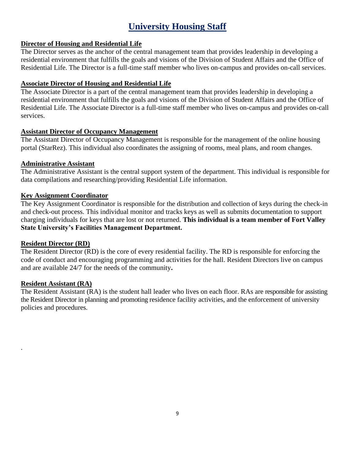# **University Housing Staff**

#### **Director of Housing and Residential Life**

The Director serves as the anchor of the central management team that provides leadership in developing a residential environment that fulfills the goals and visions of the Division of Student Affairs and the Office of Residential Life. The Director is a full-time staff member who lives on-campus and provides on-call services.

#### **Associate Director of Housing and Residential Life**

The Associate Director is a part of the central management team that provides leadership in developing a residential environment that fulfills the goals and visions of the Division of Student Affairs and the Office of Residential Life. The Associate Director is a full-time staff member who lives on-campus and provides on-call services.

#### **Assistant Director of Occupancy Management**

The Assistant Director of Occupancy Management is responsible for the management of the online housing portal (StarRez). This individual also coordinates the assigning of rooms, meal plans, and room changes.

#### **Administrative Assistant**

The Administrative Assistant is the central support system of the department. This individual is responsible for data compilations and researching/providing Residential Life information.

#### **Key Assignment Coordinator**

The Key Assignment Coordinator is responsible for the distribution and collection of keys during the check-in and check-out process. This individual monitor and tracks keys as well as submits documentation to support charging individuals for keys that are lost or not returned. **This individual is a team member of Fort Valley State University's Facilities Management Department.**

#### **Resident Director (RD)**

The Resident Director (RD) is the core of every residential facility. The RD is responsible for enforcing the code of conduct and encouraging programming and activities for the hall. Resident Directors live on campus and are available 24/7 for the needs of the community**.**

#### **Resident Assistant (RA)**

.

The Resident Assistant (RA) is the student hall leader who lives on each floor. RAs are responsible for assisting the Resident Director in planning and promoting residence facility activities, and the enforcement of university policies and procedures.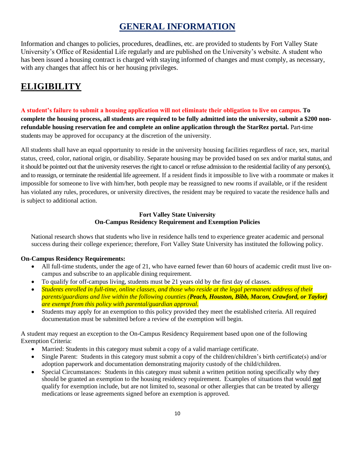## **GENERAL INFORMATION**

Information and changes to policies, procedures, deadlines, etc. are provided to students by Fort Valley State University's Office of Residential Life regularly and are published on the University's website. A student who has been issued a housing contract is charged with staying informed of changes and must comply, as necessary, with any changes that affect his or her housing privileges.

# **ELIGIBILITY**

**A student's failure to submit a housing application will not eliminate their obligation to live on campus. To complete the housing process, all students are required to be fully admitted into the university, submit a \$200 nonrefundable housing reservation fee and complete an online application through the StarRez portal.** Part-time students may be approved for occupancy at the discretion of the university.

All students shall have an equal opportunity to reside in the university housing facilities regardless of race, sex, marital status, creed, color, national origin, or disability. Separate housing may be provided based on sex and/or marital status, and it should be pointed out that the university reserves the right to cancel or refuse admission to the residential facility of any person(s), and to reassign, or terminate the residential life agreement. If a resident finds it impossible to live with a roommate or makes it impossible for someone to live with him/her, both people may be reassigned to new rooms if available, or if the resident has violated any rules, procedures, or university directives, the resident may be required to vacate the residence halls and is subject to additional action.

#### **Fort Valley State University On-Campus Residency Requirement and Exemption Policies**

National research shows that students who live in residence halls tend to experience greater academic and personal success during their college experience; therefore, Fort Valley State University has instituted the following policy.

#### **On-Campus Residency Requirements:**

- All full-time students, under the age of 21, who have earned fewer than 60 hours of academic credit must live oncampus and subscribe to an applicable dining requirement.
- To qualify for off-campus living, students must be 21 years old by the first day of classes.
- *Students enrolled in full-time, online classes, and those who reside at the legal permanent address of their parents/guardians and live within the following counties (Peach, Houston, Bibb, Macon, Crawford, or Taylor) are exempt from this policy with parental/guardian approval.*
- Students may apply for an exemption to this policy provided they meet the established criteria. All required documentation must be submitted before a review of the exemption will begin.

A student may request an exception to the On-Campus Residency Requirement based upon one of the following Exemption Criteria:

- Married: Students in this category must submit a copy of a valid marriage certificate.
- Single Parent: Students in this category must submit a copy of the children/children's birth certificate(s) and/or adoption paperwork and documentation demonstrating majority custody of the child/children.
- Special Circumstances: Students in this category must submit a written petition noting specifically why they should be granted an exemption to the housing residency requirement. Examples of situations that would *not* qualify for exemption include, but are not limited to, seasonal or other allergies that can be treated by allergy medications or lease agreements signed before an exemption is approved.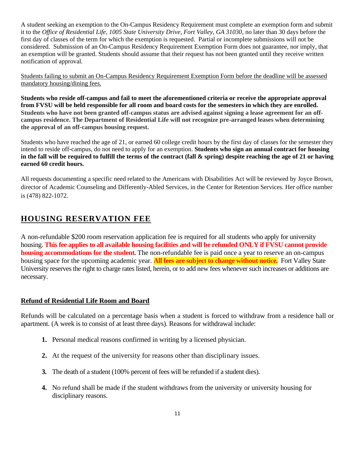A student seeking an exemption to the On-Campus Residency Requirement must complete an exemption form and submit it to the *Office of Residential Life, 1005 State University Drive, Fort Valley, GA 31030*, no later than 30 days before the first day of classes of the term for which the exemption is requested. Partial or incomplete submissions will not be considered. Submission of an On-Campus Residency Requirement Exemption Form does not guarantee, nor imply, that an exemption will be granted. Students should assume that their request has not been granted until they receive written notification of approval.

Students failing to submit an On-Campus Residency Requirement Exemption Form before the deadline will be assessed mandatory housing/dining fees.

**Students who reside off-campus and fail to meet the aforementioned criteria or receive the appropriate approval from FVSU will be held responsible for all room and board costs for the semesters in which they are enrolled. Students who have not been granted off-campus status are advised against signing a lease agreement for an offcampus residence. The Department of Residential Life will not recognize pre-arranged leases when determining the approval of an off-campus housing request.**

Students who have reached the age of 21, or earned 60 college credit hours by the first day of classes for the semester they intend to reside off-campus, do not need to apply for an exemption. **Students who sign an annual contract for housing in the fall will be required to fulfill the terms of the contract (fall & spring) despite reaching the age of 21 or having earned 60 credit hours.**

All requests documenting a specific need related to the Americans with Disabilities Act will be reviewed by Joyce Brown, director of Academic Counseling and Differently-Abled Services, in the Center for Retention Services. Her office number is (478) 822-1072.

## **HOUSING RESERVATION FEE**

A non-refundable \$200 room reservation application fee is required for all students who apply for university housing. **This fee applies to all available housing facilities and will be refunded ONLY if FVSU cannot provide housing accommodations for the student.** The non-refundable fee is paid once a year to reserve an on-campus housing space for the upcoming academic year. **All fees are subject to change without notice.** Fort Valley State University reserves the right to charge rates listed, herein, or to add new fees whenever such increases or additions are necessary.

#### **Refund of Residential Life Room and Board**

Refunds will be calculated on a percentage basis when a student is forced to withdraw from a residence hall or apartment. (A week is to consist of at least three days). Reasons for withdrawal include:

- **1.** Personal medical reasons confirmed in writing by a licensed physician.
- **2.** At the request of the university for reasons other than disciplinary issues.
- **3.** The death of a student (100% percent of fees will be refunded if a student dies).
- **4.** No refund shall be made if the student withdraws from the university or university housing for disciplinary reasons.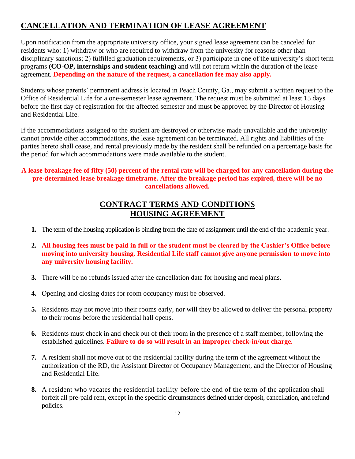## **CANCELLATION AND TERMINATION OF LEASE AGREEMENT**

Upon notification from the appropriate university office, your signed lease agreement can be canceled for residents who: 1) withdraw or who are required to withdraw from the university for reasons other than disciplinary sanctions; 2) fulfilled graduation requirements, or 3) participate in one of the university's short term programs **(CO-OP, internships and student teaching)** and will not return within the duration of the lease agreement. **Depending on the nature of the request, a cancellation fee may also apply.**

Students whose parents' permanent address is located in Peach County, Ga., may submit a written request to the Office of Residential Life for a one-semester lease agreement. The request must be submitted at least 15 days before the first day of registration for the affected semester and must be approved by the Director of Housing and Residential Life.

If the accommodations assigned to the student are destroyed or otherwise made unavailable and the university cannot provide other accommodations, the lease agreement can be terminated. All rights and liabilities of the parties hereto shall cease, and rental previously made by the resident shall be refunded on a percentage basis for the period for which accommodations were made available to the student.

#### **A lease breakage fee of fifty (50) percent of the rental rate will be charged for any cancellation during the pre-determined lease breakage timeframe. After the breakage period has expired, there will be no cancellations allowed.**

#### **CONTRACT TERMS AND CONDITIONS HOUSING AGREEMENT**

- **1.** The term of the housing application is binding from the date of assignment until the end of the academic year.
- **2. All housing fees must be paid in full or the student must be cleared by the Cashier's Office before moving into university housing. Residential Life staff cannot give anyone permission to move into any university housing facility.**
- **3.** There will be no refunds issued after the cancellation date for housing and meal plans.
- **4.** Opening and closing dates for room occupancy must be observed.
- **5.** Residents may not move into their rooms early, nor will they be allowed to deliver the personal property to their rooms before the residential hall opens.
- **6.** Residents must check in and check out of their room in the presence of a staff member, following the established guidelines. **Failure to do so will result in an improper check-in/out charge.**
- **7.** A resident shall not move out of the residential facility during the term of the agreement without the authorization of the RD, the Assistant Director of Occupancy Management, and the Director of Housing and Residential Life.
- **8.** A resident who vacates the residential facility before the end of the term of the application shall forfeit all pre-paid rent, except in the specific circumstances defined under deposit, cancellation, and refund policies.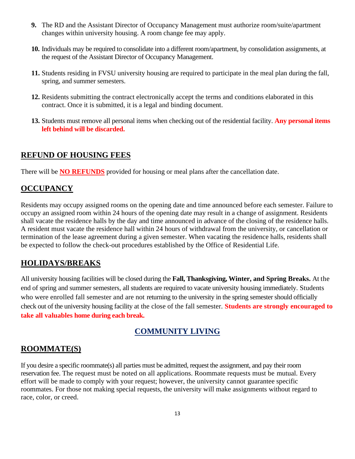- **9.** The RD and the Assistant Director of Occupancy Management must authorize room/suite/apartment changes within university housing. A room change fee may apply.
- **10.** Individuals may be required to consolidate into a different room/apartment, by consolidation assignments, at the request of the Assistant Director of Occupancy Management.
- **11.** Students residing in FVSU university housing are required to participate in the meal plan during the fall, spring, and summer semesters.
- **12.** Residents submitting the contract electronically accept the terms and conditions elaborated in this contract. Once it is submitted, it is a legal and binding document.
- **13.** Students must remove all personal items when checking out of the residential facility. **Any personal items left behind will be discarded.**

#### **REFUND OF HOUSING FEES**

There will be **NO REFUNDS** provided for housing or meal plans after the cancellation date.

#### **OCCUPANCY**

Residents may occupy assigned rooms on the opening date and time announced before each semester. Failure to occupy an assigned room within 24 hours of the opening date may result in a change of assignment. Residents shall vacate the residence halls by the day and time announced in advance of the closing of the residence halls. A resident must vacate the residence hall within 24 hours of withdrawal from the university, or cancellation or termination of the lease agreement during a given semester. When vacating the residence halls, residents shall be expected to follow the check-out procedures established by the Office of Residential Life.

#### **HOLIDAYS/BREAKS**

All university housing facilities will be closed during the **Fall, Thanksgiving, Winter, and Spring Breaks.** At the end of spring and summer semesters, all students are required to vacate university housing immediately. Students who were enrolled fall semester and are not returning to the university in the spring semester should officially check out of the university housing facility at the close of the fall semester. **Students are strongly encouraged to take all valuables home during each break.** 

#### **COMMUNITY LIVING**

#### **ROOMMATE(S)**

If you desire a specific roommate(s) all parties must be admitted, request the assignment, and pay their room reservation fee. The request must be noted on all applications. Roommate requests must be mutual. Every effort will be made to comply with your request; however, the university cannot guarantee specific roommates. For those not making special requests, the university will make assignments without regard to race, color, or creed.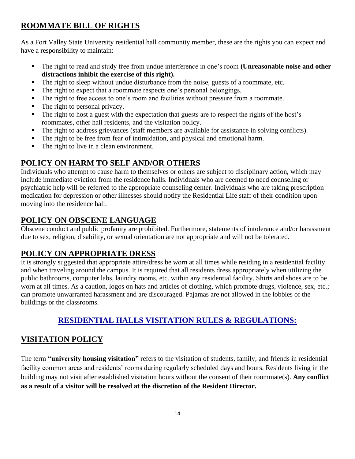## **ROOMMATE BILL OF RIGHTS**

As a Fort Valley State University residential hall community member, these are the rights you can expect and have a responsibility to maintain:

- The right to read and study free from undue interference in one's room (Unreasonable noise and other **distractions inhibit the exercise of this right).**
- The right to sleep without undue disturbance from the noise, guests of a roommate, etc.
- The right to expect that a roommate respects one's personal belongings.
- The right to free access to one's room and facilities without pressure from a roommate.
- The right to personal privacy.
- The right to host a guest with the expectation that guests are to respect the rights of the host's roommates, other hall residents, and the visitation policy.
- The right to address grievances (staff members are available for assistance in solving conflicts).
- The right to be free from fear of intimidation, and physical and emotional harm.
- The right to live in a clean environment.

## **POLICY ON HARM TO SELF AND/OR OTHERS**

Individuals who attempt to cause harm to themselves or others are subject to disciplinary action, which may include immediate eviction from the residence halls. Individuals who are deemed to need counseling or psychiatric help will be referred to the appropriate counseling center. Individuals who are taking prescription medication for depression or other illnesses should notify the Residential Life staff of their condition upon moving into the residence hall.

#### **POLICY ON OBSCENE LANGUAGE**

Obscene conduct and public profanity are prohibited. Furthermore, statements of intolerance and/or harassment due to sex, religion, disability, or sexual orientation are not appropriate and will not be tolerated.

## **POLICY ON APPROPRIATE DRESS**

It is strongly suggested that appropriate attire/dress be worn at all times while residing in a residential facility and when traveling around the campus. It is required that all residents dress appropriately when utilizing the public bathrooms, computer labs, laundry rooms, etc. within any residential facility. Shirts and shoes are to be worn at all times. As a caution, logos on hats and articles of clothing, which promote drugs, violence, sex, etc.; can promote unwarranted harassment and are discouraged. Pajamas are not allowed in the lobbies of the buildings or the classrooms.

## **RESIDENTIAL HALLS VISITATION RULES & REGULATIONS:**

## **VISITATION POLICY**

The term **"university housing visitation"** refers to the visitation of students, family, and friends in residential facility common areas and residents' rooms during regularly scheduled days and hours. Residents living in the building may not visit after established visitation hours without the consent of their roommate(s). **Any conflict as a result of a visitor will be resolved at the discretion of the Resident Director.**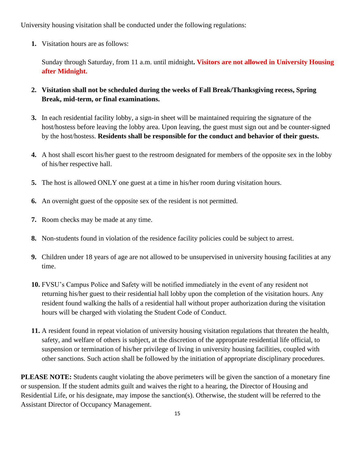University housing visitation shall be conducted under the following regulations:

**1.** Visitation hours are as follows:

Sunday through Saturday, from 11 a.m. until midnight**. Visitors are not allowed in University Housing after Midnight.**

- **2. Visitation shall not be scheduled during the weeks of Fall Break/Thanksgiving recess, Spring Break, mid-term, or final examinations.**
- **3.** In each residential facility lobby, a sign-in sheet will be maintained requiring the signature of the host/hostess before leaving the lobby area. Upon leaving, the guest must sign out and be counter-signed by the host/hostess. **Residents shall be responsible for the conduct and behavior of their guests.**
- **4.** A host shall escort his/her guest to the restroom designated for members of the opposite sex in the lobby of his/her respective hall.
- **5.** The host is allowed ONLY one guest at a time in his/her room during visitation hours.
- **6.** An overnight guest of the opposite sex of the resident is not permitted.
- **7.** Room checks may be made at any time.
- **8.** Non-students found in violation of the residence facility policies could be subject to arrest.
- **9.** Children under 18 years of age are not allowed to be unsupervised in university housing facilities at any time.
- **10.** FVSU's Campus Police and Safety will be notified immediately in the event of any resident not returning his/her guest to their residential hall lobby upon the completion of the visitation hours. Any resident found walking the halls of a residential hall without proper authorization during the visitation hours will be charged with violating the Student Code of Conduct.
- **11.** A resident found in repeat violation of university housing visitation regulations that threaten the health, safety, and welfare of others is subject, at the discretion of the appropriate residential life official, to suspension or termination of his/her privilege of living in university housing facilities, coupled with other sanctions. Such action shall be followed by the initiation of appropriate disciplinary procedures.

**PLEASE NOTE:** Students caught violating the above perimeters will be given the sanction of a monetary fine or suspension. If the student admits guilt and waives the right to a hearing, the Director of Housing and Residential Life, or his designate, may impose the sanction(s). Otherwise, the student will be referred to the Assistant Director of Occupancy Management.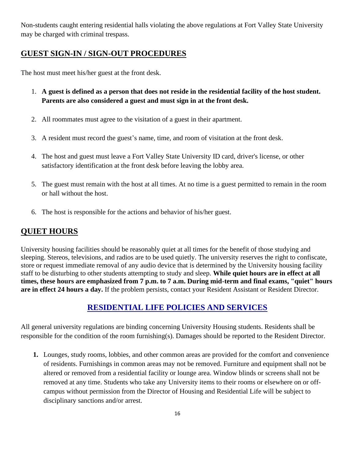Non-students caught entering residential halls violating the above regulations at Fort Valley State University may be charged with criminal trespass.

## **GUEST SIGN-IN / SIGN-OUT PROCEDURES**

The host must meet his/her guest at the front desk.

- 1. **A guest is defined as a person that does not reside in the residential facility of the host student. Parents are also considered a guest and must sign in at the front desk.**
- 2. All roommates must agree to the visitation of a guest in their apartment.
- 3. A resident must record the guest's name, time, and room of visitation at the front desk.
- 4. The host and guest must leave a Fort Valley State University ID card, driver's license, or other satisfactory identification at the front desk before leaving the lobby area.
- 5. The guest must remain with the host at all times. At no time is a guest permitted to remain in the room or hall without the host.
- 6. The host is responsible for the actions and behavior of his/her guest.

#### **QUIET HOURS**

University housing facilities should be reasonably quiet at all times for the benefit of those studying and sleeping. Stereos, televisions, and radios are to be used quietly. The university reserves the right to confiscate, store or request immediate removal of any audio device that is determined by the University housing facility staff to be disturbing to other students attempting to study and sleep. **While quiet hours are in effect at all times, these hours are emphasized from 7 p.m. to 7 a.m. During mid-term and final exams, "quiet" hours are in effect 24 hours a day.** If the problem persists, contact your Resident Assistant or Resident Director.

#### **RESIDENTIAL LIFE POLICIES AND SERVICES**

All general university regulations are binding concerning University Housing students. Residents shall be responsible for the condition of the room furnishing(s). Damages should be reported to the Resident Director.

**1.** Lounges, study rooms, lobbies, and other common areas are provided for the comfort and convenience of residents. Furnishings in common areas may not be removed. Furniture and equipment shall not be altered or removed from a residential facility or lounge area. Window blinds or screens shall not be removed at any time. Students who take any University items to their rooms or elsewhere on or offcampus without permission from the Director of Housing and Residential Life will be subject to disciplinary sanctions and/or arrest.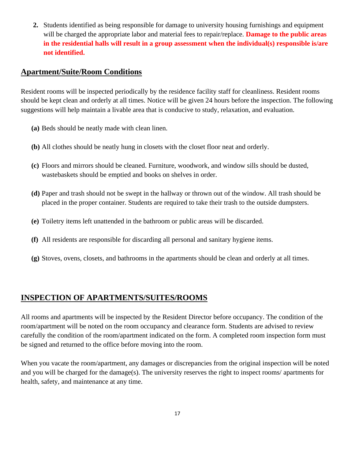**2.** Students identified as being responsible for damage to university housing furnishings and equipment will be charged the appropriate labor and material fees to repair/replace. **Damage to the public areas in the residential halls will result in a group assessment when the individual(s) responsible is/are not identified.**

#### **Apartment/Suite/Room Conditions**

Resident rooms will be inspected periodically by the residence facility staff for cleanliness. Resident rooms should be kept clean and orderly at all times. Notice will be given 24 hours before the inspection. The following suggestions will help maintain a livable area that is conducive to study, relaxation, and evaluation.

- **(a)** Beds should be neatly made with clean linen.
- **(b)** All clothes should be neatly hung in closets with the closet floor neat and orderly.
- **(c)** Floors and mirrors should be cleaned. Furniture, woodwork, and window sills should be dusted, wastebaskets should be emptied and books on shelves in order.
- **(d)** Paper and trash should not be swept in the hallway or thrown out of the window. All trash should be placed in the proper container. Students are required to take their trash to the outside dumpsters.
- **(e)** Toiletry items left unattended in the bathroom or public areas will be discarded.
- **(f)** All residents are responsible for discarding all personal and sanitary hygiene items.
- **(g)** Stoves, ovens, closets, and bathrooms in the apartments should be clean and orderly at all times.

#### **INSPECTION OF APARTMENTS/SUITES/ROOMS**

All rooms and apartments will be inspected by the Resident Director before occupancy. The condition of the room/apartment will be noted on the room occupancy and clearance form. Students are advised to review carefully the condition of the room/apartment indicated on the form. A completed room inspection form must be signed and returned to the office before moving into the room.

When you vacate the room/apartment, any damages or discrepancies from the original inspection will be noted and you will be charged for the damage(s). The university reserves the right to inspect rooms/ apartments for health, safety, and maintenance at any time.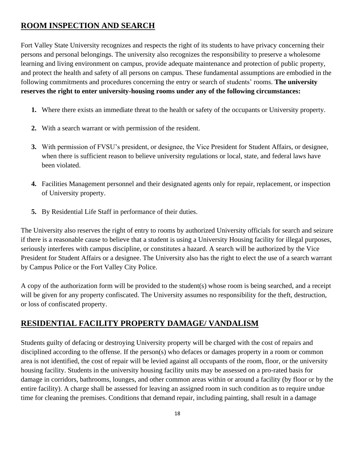## **ROOM INSPECTION AND SEARCH**

Fort Valley State University recognizes and respects the right of its students to have privacy concerning their persons and personal belongings. The university also recognizes the responsibility to preserve a wholesome learning and living environment on campus, provide adequate maintenance and protection of public property, and protect the health and safety of all persons on campus. These fundamental assumptions are embodied in the following commitments and procedures concerning the entry or search of students' rooms. **The university reserves the right to enter university-housing rooms under any of the following circumstances:**

- **1.** Where there exists an immediate threat to the health or safety of the occupants or University property.
- **2.** With a search warrant or with permission of the resident.
- **3.** With permission of FVSU's president, or designee, the Vice President for Student Affairs, or designee, when there is sufficient reason to believe university regulations or local, state, and federal laws have been violated.
- **4.** Facilities Management personnel and their designated agents only for repair, replacement, or inspection of University property.
- **5.** By Residential Life Staff in performance of their duties.

The University also reserves the right of entry to rooms by authorized University officials for search and seizure if there is a reasonable cause to believe that a student is using a University Housing facility for illegal purposes, seriously interferes with campus discipline, or constitutes a hazard. A search will be authorized by the Vice President for Student Affairs or a designee. The University also has the right to elect the use of a search warrant by Campus Police or the Fort Valley City Police.

A copy of the authorization form will be provided to the student(s) whose room is being searched, and a receipt will be given for any property confiscated. The University assumes no responsibility for the theft, destruction, or loss of confiscated property.

## **RESIDENTIAL FACILITY PROPERTY DAMAGE/ VANDALISM**

Students guilty of defacing or destroying University property will be charged with the cost of repairs and disciplined according to the offense. If the person(s) who defaces or damages property in a room or common area is not identified, the cost of repair will be levied against all occupants of the room, floor, or the university housing facility. Students in the university housing facility units may be assessed on a pro-rated basis for damage in corridors, bathrooms, lounges, and other common areas within or around a facility (by floor or by the entire facility). A charge shall be assessed for leaving an assigned room in such condition as to require undue time for cleaning the premises. Conditions that demand repair, including painting, shall result in a damage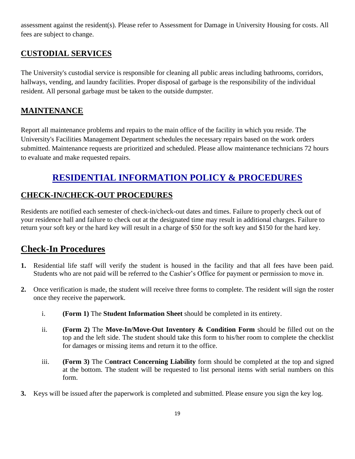assessment against the resident(s). Please refer to Assessment for Damage in University Housing for costs. All fees are subject to change.

## **CUSTODIAL SERVICES**

The University's custodial service is responsible for cleaning all public areas including bathrooms, corridors, hallways, vending, and laundry facilities. Proper disposal of garbage is the responsibility of the individual resident. All personal garbage must be taken to the outside dumpster.

## **MAINTENANCE**

Report all maintenance problems and repairs to the main office of the facility in which you reside. The University's Facilities Management Department schedules the necessary repairs based on the work orders submitted. Maintenance requests are prioritized and scheduled. Please allow maintenance technicians 72 hours to evaluate and make requested repairs.

# **RESIDENTIAL INFORMATION POLICY & PROCEDURES**

## **CHECK-IN/CHECK-OUT PROCEDURES**

Residents are notified each semester of check-in/check-out dates and times. Failure to properly check out of your residence hall and failure to check out at the designated time may result in additional charges. Failure to return your soft key or the hard key will result in a charge of \$50 for the soft key and \$150 for the hard key.

## **Check-In Procedures**

- **1.** Residential life staff will verify the student is housed in the facility and that all fees have been paid. Students who are not paid will be referred to the Cashier's Office for payment or permission to move in.
- **2.** Once verification is made, the student will receive three forms to complete. The resident will sign the roster once they receive the paperwork.
	- i. **(Form 1)** The **Student Information Sheet** should be completed in its entirety.
	- ii. **(Form 2)** The **Move-In/Move-Out Inventory & Condition Form** should be filled out on the top and the left side. The student should take this form to his/her room to complete the checklist for damages or missing items and return it to the office.
	- iii. **(Form 3)** The C**ontract Concerning Liability** form should be completed at the top and signed at the bottom. The student will be requested to list personal items with serial numbers on this form.
- **3.** Keys will be issued after the paperwork is completed and submitted. Please ensure you sign the key log.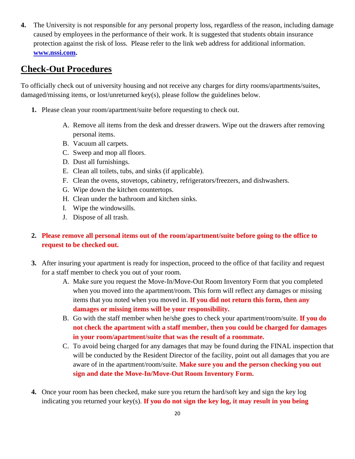**4.** The University is not responsible for any personal property loss, regardless of the reason, including damage caused by employees in the performance of their work. It is suggested that students obtain insurance protection against the risk of loss. Please refer to the link web address for additional information. **[www.nssi.com.](http://www.nssi.com/)** 

## **Check-Out Procedures**

To officially check out of university housing and not receive any charges for dirty rooms/apartments/suites, damaged/missing items, or lost/unreturned key(s), please follow the guidelines below.

- **1.** Please clean your room/apartment/suite before requesting to check out.
	- A. Remove all items from the desk and dresser drawers. Wipe out the drawers after removing personal items.
	- B. Vacuum all carpets.
	- C. Sweep and mop all floors.
	- D. Dust all furnishings.
	- E. Clean all toilets, tubs, and sinks (if applicable).
	- F. Clean the ovens, stovetops, cabinetry, refrigerators/freezers, and dishwashers.
	- G. Wipe down the kitchen countertops.
	- H. Clean under the bathroom and kitchen sinks.
	- I. Wipe the windowsills.
	- J. Dispose of all trash.

#### **2. Please remove all personal items out of the room/apartment/suite before going to the office to request to be checked out.**

- **3.** After insuring your apartment is ready for inspection, proceed to the office of that facility and request for a staff member to check you out of your room.
	- A. Make sure you request the Move-In/Move-Out Room Inventory Form that you completed when you moved into the apartment/room. This form will reflect any damages or missing items that you noted when you moved in. **If you did not return this form, then any damages or missing items will be your responsibility.**
	- B. Go with the staff member when he/she goes to check your apartment/room/suite. **If you do not check the apartment with a staff member, then you could be charged for damages in your room/apartment/suite that was the result of a roommate.**
	- C. To avoid being charged for any damages that may be found during the FINAL inspection that will be conducted by the Resident Director of the facility, point out all damages that you are aware of in the apartment/room/suite. **Make sure you and the person checking you out sign and date the Move-In/Move-Out Room Inventory Form.**
- **4.** Once your room has been checked, make sure you return the hard/soft key and sign the key log indicating you returned your key(s). **If you do not sign the key log, it may result in you being**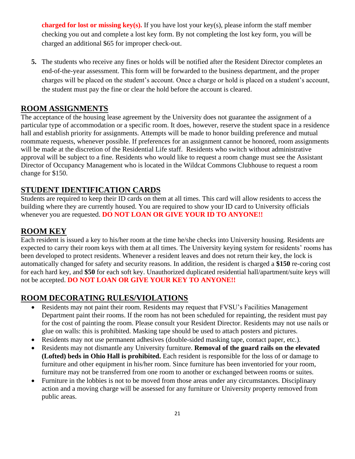**charged for lost or missing key(s).** If you have lost your key(s), please inform the staff member checking you out and complete a lost key form. By not completing the lost key form, you will be charged an additional \$65 for improper check-out.

**5.** The students who receive any fines or holds will be notified after the Resident Director completes an end-of-the-year assessment. This form will be forwarded to the business department, and the proper charges will be placed on the student's account. Once a charge or hold is placed on a student's account, the student must pay the fine or clear the hold before the account is cleared.

#### **ROOM ASSIGNMENTS**

The acceptance of the housing lease agreement by the University does not guarantee the assignment of a particular type of accommodation or a specific room. It does, however, reserve the student space in a residence hall and establish priority for assignments. Attempts will be made to honor building preference and mutual roommate requests, whenever possible. If preferences for an assignment cannot be honored, room assignments will be made at the discretion of the Residential Life staff. Residents who switch without administrative approval will be subject to a fine. Residents who would like to request a room change must see the Assistant Director of Occupancy Management who is located in the Wildcat Commons Clubhouse to request a room change for \$150.

#### **STUDENT IDENTIFICATION CARDS**

Students are required to keep their ID cards on them at all times. This card will allow residents to access the building where they are currently housed. You are required to show your ID card to University officials whenever you are requested. **DO NOT LOAN OR GIVE YOUR ID TO ANYONE!!**

#### **ROOM KEY**

Each resident is issued a key to his/her room at the time he/she checks into University housing. Residents are expected to carry their room keys with them at all times. The University keying system for residents' rooms has been developed to protect residents. Whenever a resident leaves and does not return their key, the lock is automatically changed for safety and security reasons. In addition, the resident is charged a **\$150** re-coring cost for each hard key, and **\$50** for each soft key. Unauthorized duplicated residential hall/apartment/suite keys will not be accepted. **DO NOT LOAN OR GIVE YOUR KEY TO ANYONE!!**

#### **ROOM DECORATING RULES/VIOLATIONS**

- Residents may not paint their room. Residents may request that FVSU's Facilities Management Department paint their rooms. If the room has not been scheduled for repainting, the resident must pay for the cost of painting the room. Please consult your Resident Director. Residents may not use nails or glue on walls: this is prohibited. Masking tape should be used to attach posters and pictures.
- Residents may not use permanent adhesives (double-sided masking tape, contact paper, etc.).
- Residents may not dismantle any University furniture. **Removal of the guard rails on the elevated (Lofted) beds in Ohio Hall is prohibited.** Each resident is responsible for the loss of or damage to furniture and other equipment in his/her room. Since furniture has been inventoried for your room, furniture may not be transferred from one room to another or exchanged between rooms or suites.
- Furniture in the lobbies is not to be moved from those areas under any circumstances. Disciplinary action and a moving charge will be assessed for any furniture or University property removed from public areas.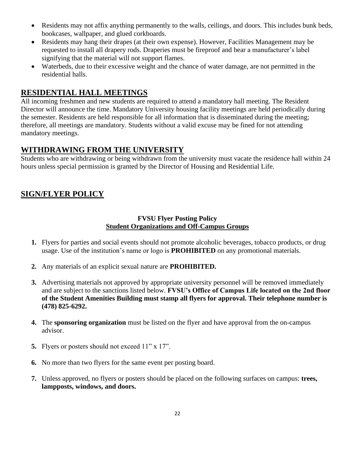- Residents may not affix anything permanently to the walls, ceilings, and doors. This includes bunk beds, bookcases, wallpaper, and glued corkboards.
- Residents may hang their drapes (at their own expense). However, Facilities Management may be requested to install all drapery rods. Draperies must be fireproof and bear a manufacturer's label signifying that the material will not support flames.
- Waterbeds, due to their excessive weight and the chance of water damage, are not permitted in the residential halls.

#### **RESIDENTIAL HALL MEETINGS**

All incoming freshmen and new students are required to attend a mandatory hall meeting. The Resident Director will announce the time. Mandatory University housing facility meetings are held periodically during the semester. Residents are held responsible for all information that is disseminated during the meeting; therefore, all meetings are mandatory. Students without a valid excuse may be fined for not attending mandatory meetings.

#### **WITHDRAWING FROM THE UNIVERSITY**

Students who are withdrawing or being withdrawn from the university must vacate the residence hall within 24 hours unless special permission is granted by the Director of Housing and Residential Life.

## **SIGN/FLYER POLICY**

#### **FVSU Flyer Posting Policy Student Organizations and Off-Campus Groups**

- **1.** Flyers for parties and social events should not promote alcoholic beverages, tobacco products, or drug usage. Use of the institution's name or logo is **PROHIBITED** on any promotional materials.
- **2.** Any materials of an explicit sexual nature are **PROHIBITED.**
- **3.** Advertising materials not approved by appropriate university personnel will be removed immediately and are subject to the sanctions listed below. **FVSU's Office of Campus Life located on the 2nd floor of the Student Amenities Building must stamp all flyers for approval. Their telephone number is (478) 825-6292.**
- **4.** The **sponsoring organization** must be listed on the flyer and have approval from the on-campus advisor.
- **5.** Flyers or posters should not exceed 11" x 17".
- **6.** No more than two flyers for the same event per posting board.
- **7.** Unless approved, no flyers or posters should be placed on the following surfaces on campus: **trees, lampposts, windows, and doors.**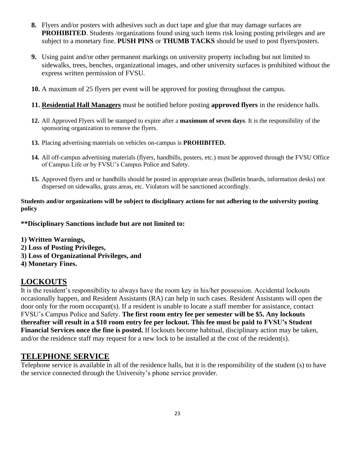- **8.** Flyers and/or posters with adhesives such as duct tape and glue that may damage surfaces are **PROHIBITED.** Students /organizations found using such items risk losing posting privileges and are subject to a monetary fine. **PUSH PINS** or **THUMB TACKS** should be used to post flyers/posters.
- **9.** Using paint and/or other permanent markings on university property including but not limited to sidewalks, trees, benches, organizational images, and other university surfaces is prohibited without the express written permission of FVSU.
- **10.** A maximum of 25 flyers per event will be approved for posting throughout the campus.
- **11. Residential Hall Managers** must be notified before posting **approved flyers** in the residence halls.
- **12.** All Approved Flyers will be stamped to expire after a **maximum of seven days**. It is the responsibility of the sponsoring organization to remove the flyers.
- **13.** Placing advertising materials on vehicles on-campus is **PROHIBITED.**
- **14.** All off-campus advertising materials (flyers, handbills, posters, etc.) must be approved through the FVSU Office of Campus Life or by FVSU's Campus Police and Safety.
- **15.** Approved flyers and or handbills should be posted in appropriate areas (bulletin boards, information desks) not dispersed on sidewalks, grass areas, etc. Violators will be sanctioned accordingly.

#### **Students and/or organizations will be subject to disciplinary actions for not adhering to the university posting policy**

**\*\*Disciplinary Sanctions include but are not limited to:** 

**1) Written Warnings,**

- **2) Loss of Posting Privileges,**
- **3) Loss of Organizational Privileges, and**
- **4) Monetary Fines.**

#### **LOCKOUTS**

It is the resident's responsibility to always have the room key in his/her possession. Accidental lockouts occasionally happen, and Resident Assistants (RA) can help in such cases. Resident Assistants will open the door only for the room occupant(s). If a resident is unable to locate a staff member for assistance, contact FVSU's Campus Police and Safety. **The first room entry fee per semester will be \$5. Any lockouts thereafter will result in a \$10 room entry fee per lockout. This fee must be paid to FVSU's Student Financial Services once the fine is posted.** If lockouts become habitual, disciplinary action may be taken, and/or the residence staff may request for a new lock to be installed at the cost of the resident(s).

#### **TELEPHONE SERVICE**

Telephone service is available in all of the residence halls, but it is the responsibility of the student (s) to have the service connected through the University's phone service provider.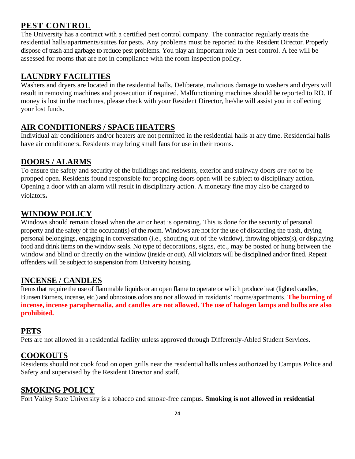## **PEST CONTROL**

The University has a contract with a certified pest control company. The contractor regularly treats the residential halls/apartments/suites for pests. Any problems must be reported to the Resident Director. Properly dispose of trash and garbage to reduce pest problems. You play an important role in pest control. A fee will be assessed for rooms that are not in compliance with the room inspection policy.

## **LAUNDRY FACILITIES**

Washers and dryers are located in the residential halls. Deliberate, malicious damage to washers and dryers will result in removing machines and prosecution if required. Malfunctioning machines should be reported to RD. If money is lost in the machines, please check with your Resident Director, he/she will assist you in collecting your lost funds.

## **AIR CONDITIONERS / SPACE HEATERS**

Individual air conditioners and/or heaters are not permitted in the residential halls at any time. Residential halls have air conditioners. Residents may bring small fans for use in their rooms.

#### **DOORS / ALARMS**

To ensure the safety and security of the buildings and residents, exterior and stairway doors *are not* to be propped open. Residents found responsible for propping doors open will be subject to disciplinary action. Opening a door with an alarm will result in disciplinary action. A monetary fine may also be charged to violators**.**

#### **WINDOW POLICY**

Windows should remain closed when the air or heat is operating. This is done for the security of personal property and the safety of the occupant(s) of the room. Windows are not for the use of discarding the trash, drying personal belongings, engaging in conversation (i.e., shouting out of the window), throwing objects(s), or displaying food and drink items on the window seals. No type of decorations, signs, etc., may be posted or hung between the window and blind or directly on the window (inside or out). All violators will be disciplined and/or fined. Repeat offenders will be subject to suspension from University housing.

#### **INCENSE / CANDLES**

Items that require the use of flammable liquids or an open flame to operate or which produce heat (lighted candles, Bunsen Burners, incense, etc.) and obnoxious odors are not allowed in residents' rooms/apartments. **The burning of incense, incense paraphernalia, and candles are not allowed. The use of halogen lamps and bulbs are also prohibited.**

#### **PETS**

Pets are not allowed in a residential facility unless approved through Differently-Abled Student Services.

## **COOKOUTS**

Residents should not cook food on open grills near the residential halls unless authorized by Campus Police and Safety and supervised by the Resident Director and staff.

## **SMOKING POLICY**

Fort Valley State University is a tobacco and smoke-free campus. **Smoking is not allowed in residential**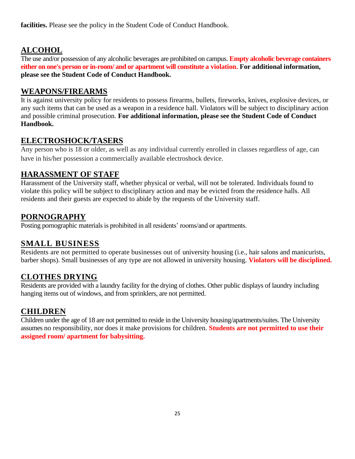**facilities.** Please see the policy in the Student Code of Conduct Handbook.

## **ALCOHOL**

The use and/or possession of any alcoholic beverages are prohibited on campus. **Empty alcoholic beverage containers either on one's person or in-room/ and or apartment will constitute a violation. For additional information, please see the Student Code of Conduct Handbook.**

## **WEAPONS/FIREARMS**

It is against university policy for residents to possess firearms, bullets, fireworks, knives, explosive devices, or any such items that can be used as a weapon in a residence hall. Violators will be subject to disciplinary action and possible criminal prosecution. **For additional information, please see the Student Code of Conduct Handbook.**

## **ELECTROSHOCK/TASERS**

Any person who is 18 or older, as well as any individual currently enrolled in classes regardless of age, can have in his/her possession a commercially available electroshock device.

## **HARASSMENT OF STAFF**

Harassment of the University staff, whether physical or verbal, will not be tolerated. Individuals found to violate this policy will be subject to disciplinary action and may be evicted from the residence halls. All residents and their guests are expected to abide by the requests of the University staff.

#### **PORNOGRAPHY**

Posting pornographic materials is prohibited in all residents' rooms/and or apartments.

## **SMALL BUSINESS**

Residents are not permitted to operate businesses out of university housing (i.e., hair salons and manicurists, barber shops). Small businesses of any type are not allowed in university housing. **Violators will be disciplined.**

## **CLOTHES DRYING**

Residents are provided with a laundry facility for the drying of clothes. Other public displays of laundry including hanging items out of windows, and from sprinklers, are not permitted.

#### **CHILDREN**

Children under the age of 18 are not permitted to reside in the University housing/apartments/suites. The University assumes no responsibility, nor does it make provisions for children. **Students are not permitted to use their assigned room/ apartment for babysitting.**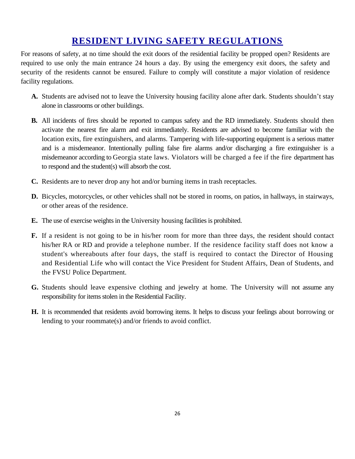# **RESIDENT LIVING SAFETY REGULATIONS**

For reasons of safety, at no time should the exit doors of the residential facility be propped open? Residents are required to use only the main entrance 24 hours a day. By using the emergency exit doors, the safety and security of the residents cannot be ensured. Failure to comply will constitute a major violation of residence facility regulations.

- **A.** Students are advised not to leave the University housing facility alone after dark. Students shouldn't stay alone in classrooms or other buildings.
- **B.** All incidents of fires should be reported to campus safety and the RD immediately. Students should then activate the nearest fire alarm and exit immediately. Residents are advised to become familiar with the location exits, fire extinguishers, and alarms. Tampering with life-supporting equipment is a serious matter and is a misdemeanor. Intentionally pulling false fire alarms and/or discharging a fire extinguisher is a misdemeanor according to Georgia state laws. Violators will be charged a fee if the fire department has to respond and the student(s) will absorb the cost.
- **C.** Residents are to never drop any hot and/or burning items in trash receptacles.
- **D.** Bicycles, motorcycles, or other vehicles shall not be stored in rooms, on patios, in hallways, in stairways, or other areas of the residence.
- **E.** The use of exercise weights in the University housing facilities is prohibited.
- **F.** If a resident is not going to be in his/her room for more than three days, the resident should contact his/her RA or RD and provide a telephone number. If the residence facility staff does not know a student's whereabouts after four days, the staff is required to contact the Director of Housing and Residential Life who will contact the Vice President for Student Affairs, Dean of Students, and the FVSU Police Department.
- **G.** Students should leave expensive clothing and jewelry at home. The University will not assume any responsibility for items stolen in the Residential Facility.
- **H.** It is recommended that residents avoid borrowing items. It helps to discuss your feelings about borrowing or lending to your roommate(s) and/or friends to avoid conflict.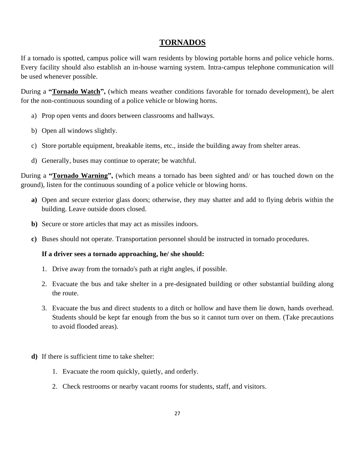#### **TORNADOS**

If a tornado is spotted, campus police will warn residents by blowing portable horns and police vehicle horns. Every facility should also establish an in-house warning system. Intra-campus telephone communication will be used whenever possible.

During a **"Tornado Watch",** (which means weather conditions favorable for tornado development), be alert for the non-continuous sounding of a police vehicle or blowing horns.

- a) Prop open vents and doors between classrooms and hallways.
- b) Open all windows slightly.
- c) Store portable equipment, breakable items, etc., inside the building away from shelter areas.
- d) Generally, buses may continue to operate; be watchful.

During a **"Tornado Warning",** (which means a tornado has been sighted and/ or has touched down on the ground), listen for the continuous sounding of a police vehicle or blowing horns.

- **a)** Open and secure exterior glass doors; otherwise, they may shatter and add to flying debris within the building. Leave outside doors closed.
- **b)** Secure or store articles that may act as missiles indoors.
- **c)** Buses should not operate. Transportation personnel should be instructed in tornado procedures.

#### **If a driver sees a tornado approaching, he/ she should:**

- 1. Drive away from the tornado's path at right angles, if possible.
- 2. Evacuate the bus and take shelter in a pre-designated building or other substantial building along the route.
- 3. Evacuate the bus and direct students to a ditch or hollow and have them lie down, hands overhead. Students should be kept far enough from the bus so it cannot turn over on them. (Take precautions to avoid flooded areas).
- **d)** If there is sufficient time to take shelter:
	- 1. Evacuate the room quickly, quietly, and orderly.
	- 2. Check restrooms or nearby vacant rooms for students, staff, and visitors.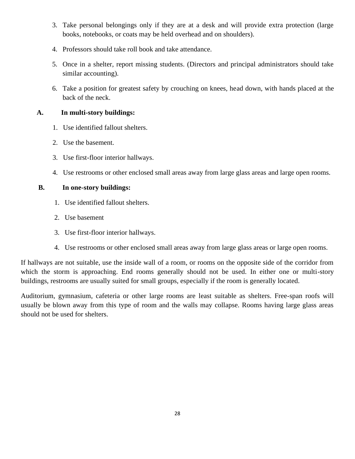- 3. Take personal belongings only if they are at a desk and will provide extra protection (large books, notebooks, or coats may be held overhead and on shoulders).
- 4. Professors should take roll book and take attendance.
- 5. Once in a shelter, report missing students. (Directors and principal administrators should take similar accounting).
- 6. Take a position for greatest safety by crouching on knees, head down, with hands placed at the back of the neck.

#### **A. In multi-story buildings:**

- 1. Use identified fallout shelters.
- 2. Use the basement.
- 3. Use first-floor interior hallways.
- 4. Use restrooms or other enclosed small areas away from large glass areas and large open rooms.

#### **B. In one-story buildings:**

- 1. Use identified fallout shelters.
- 2. Use basement
- 3. Use first-floor interior hallways.
- 4. Use restrooms or other enclosed small areas away from large glass areas or large open rooms.

If hallways are not suitable, use the inside wall of a room, or rooms on the opposite side of the corridor from which the storm is approaching. End rooms generally should not be used. In either one or multi-story buildings, restrooms are usually suited for small groups, especially if the room is generally located.

Auditorium, gymnasium, cafeteria or other large rooms are least suitable as shelters. Free-span roofs will usually be blown away from this type of room and the walls may collapse. Rooms having large glass areas should not be used for shelters.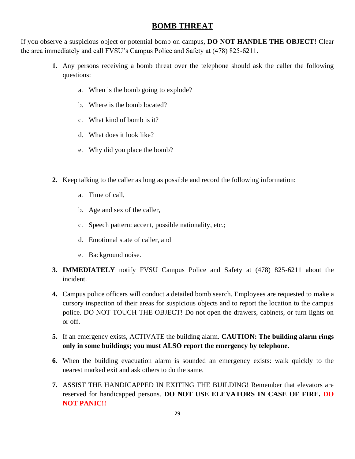#### **BOMB THREAT**

If you observe a suspicious object or potential bomb on campus, **DO NOT HANDLE THE OBJECT!** Clear the area immediately and call FVSU's Campus Police and Safety at (478) 825-6211.

- **1.** Any persons receiving a bomb threat over the telephone should ask the caller the following questions:
	- a. When is the bomb going to explode?
	- b. Where is the bomb located?
	- c. What kind of bomb is it?
	- d. What does it look like?
	- e. Why did you place the bomb?
- **2.** Keep talking to the caller as long as possible and record the following information:
	- a. Time of call,
	- b. Age and sex of the caller,
	- c. Speech pattern: accent, possible nationality, etc.;
	- d. Emotional state of caller, and
	- e. Background noise.
- **3. IMMEDIATELY** notify FVSU Campus Police and Safety at (478) 825-6211 about the incident.
- **4.** Campus police officers will conduct a detailed bomb search. Employees are requested to make a cursory inspection of their areas for suspicious objects and to report the location to the campus police. DO NOT TOUCH THE OBJECT! Do not open the drawers, cabinets, or turn lights on or off.
- **5.** If an emergency exists, ACTIVATE the building alarm. **CAUTION: The building alarm rings only in some buildings; you must ALSO report the emergency by telephone.**
- **6.** When the building evacuation alarm is sounded an emergency exists: walk quickly to the nearest marked exit and ask others to do the same.
- **7.** ASSIST THE HANDICAPPED IN EXITING THE BUILDING! Remember that elevators are reserved for handicapped persons. **DO NOT USE ELEVATORS IN CASE OF FIRE. DO NOT PANIC!!**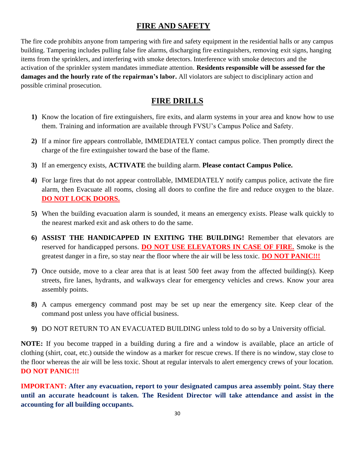## **FIRE AND SAFETY**

The fire code prohibits anyone from tampering with fire and safety equipment in the residential halls or any campus building. Tampering includes pulling false fire alarms, discharging fire extinguishers, removing exit signs, hanging items from the sprinklers, and interfering with smoke detectors. Interference with smoke detectors and the activation of the sprinkler system mandates immediate attention. **Residents responsible will be assessed for the damages and the hourly rate of the repairman's labor.** All violators are subject to disciplinary action and possible criminal prosecution.

## **FIRE DRILLS**

- **1)** Know the location of fire extinguishers, fire exits, and alarm systems in your area and know how to use them. Training and information are available through FVSU's Campus Police and Safety.
- **2)** If a minor fire appears controllable, IMMEDIATELY contact campus police. Then promptly direct the charge of the fire extinguisher toward the base of the flame.
- **3)** If an emergency exists, **ACTIVATE** the building alarm. **Please contact Campus Police.**
- **4)** For large fires that do not appear controllable, IMMEDIATELY notify campus police, activate the fire alarm, then Evacuate all rooms, closing all doors to confine the fire and reduce oxygen to the blaze. **DO NOT LOCK DOORS.**
- **5)** When the building evacuation alarm is sounded, it means an emergency exists. Please walk quickly to the nearest marked exit and ask others to do the same.
- **6) ASSIST THE HANDICAPPED IN EXITING THE BUILDING!** Remember that elevators are reserved for handicapped persons. **DO NOT USE ELEVATORS IN CASE OF FIRE.** Smoke is the greatest danger in a fire, so stay near the floor where the air will be less toxic. **DO NOT PANIC!!!**
- **7)** Once outside, move to a clear area that is at least 500 feet away from the affected building(s). Keep streets, fire lanes, hydrants, and walkways clear for emergency vehicles and crews. Know your area assembly points.
- **8)** A campus emergency command post may be set up near the emergency site. Keep clear of the command post unless you have official business.
- **9)** DO NOT RETURN TO AN EVACUATED BUILDING unless told to do so by a University official.

**NOTE:** If you become trapped in a building during a fire and a window is available, place an article of clothing (shirt, coat, etc.) outside the window as a marker for rescue crews. If there is no window, stay close to the floor whereas the air will be less toxic. Shout at regular intervals to alert emergency crews of your location. **DO NOT PANIC!!!**

**IMPORTANT: After any evacuation, report to your designated campus area assembly point. Stay there until an accurate headcount is taken. The Resident Director will take attendance and assist in the accounting for all building occupants.**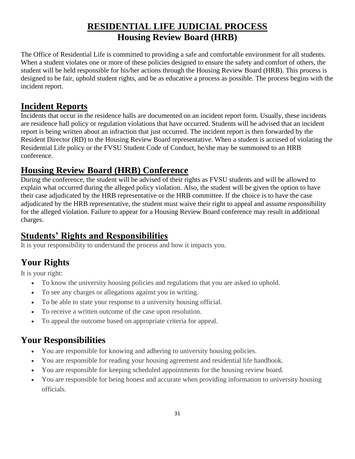## **RESIDENTIAL LIFE JUDICIAL PROCESS Housing Review Board (HRB)**

The Office of Residential Life is committed to providing a safe and comfortable environment for all students. When a student violates one or more of these policies designed to ensure the safety and comfort of others, the student will be held responsible for his/her actions through the Housing Review Board (HRB). This process is designed to be fair, uphold student rights, and be as educative a process as possible. The process begins with the incident report.

## **Incident Reports**

Incidents that occur in the residence halls are documented on an incident report form. Usually, these incidents are residence hall policy or regulation violations that have occurred. Students will be advised that an incident report is being written about an infraction that just occurred. The incident report is then forwarded by the Resident Director (RD) to the Housing Review Board representative. When a student is accused of violating the Residential Life policy or the FVSU Student Code of Conduct, he/she may be summoned to an HRB conference.

## **Housing Review Board (HRB) Conference**

During the conference, the student will be advised of their rights as FVSU students and will be allowed to explain what occurred during the alleged policy violation. Also, the student will be given the option to have their case adjudicated by the HRB representative or the HRB committee. If the choice is to have the case adjudicated by the HRB representative, the student must waive their right to appeal and assume responsibility for the alleged violation. Failure to appear for a Housing Review Board conference may result in additional charges.

## **Students' Rights and Responsibilities**

It is your responsibility to understand the process and how it impacts you.

# **Your Rights**

It is your right:

- To know the university housing policies and regulations that you are asked to uphold.
- To see any charges or allegations against you in writing.
- To be able to state your response to a university housing official.
- To receive a written outcome of the case upon resolution.
- To appeal the outcome based on appropriate criteria for appeal.

# **Your Responsibilities**

- You are responsible for knowing and adhering to university housing policies.
- You are responsible for reading your housing agreement and residential life handbook.
- You are responsible for keeping scheduled appointments for the housing review board.
- You are responsible for being honest and accurate when providing information to university housing officials.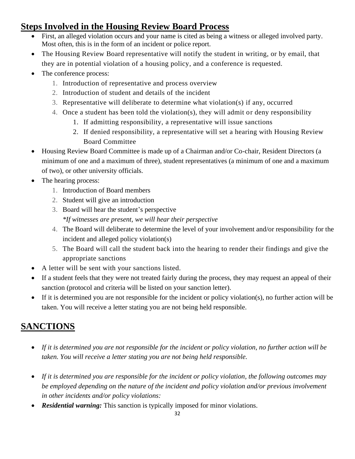# **Steps Involved in the Housing Review Board Process**

- First, an alleged violation occurs and your name is cited as being a witness or alleged involved party. Most often, this is in the form of an incident or police report.
- The Housing Review Board representative will notify the student in writing, or by email, that they are in potential violation of a housing policy, and a conference is requested.
- The conference process:
	- 1. Introduction of representative and process overview
	- 2. Introduction of student and details of the incident
	- 3. Representative will deliberate to determine what violation(s) if any, occurred
	- 4. Once a student has been told the violation(s), they will admit or deny responsibility
		- 1. If admitting responsibility, a representative will issue sanctions
		- 2. If denied responsibility, a representative will set a hearing with Housing Review Board Committee
- Housing Review Board Committee is made up of a Chairman and/or Co-chair, Resident Directors (a minimum of one and a maximum of three), student representatives (a minimum of one and a maximum of two), or other university officials.
- The hearing process:
	- 1. Introduction of Board members
	- 2. Student will give an introduction
	- 3. Board will hear the student's perspective *\*If witnesses are present, we will hear their perspective*
	- 4. The Board will deliberate to determine the level of your involvement and/or responsibility for the incident and alleged policy violation(s)
	- 5. The Board will call the student back into the hearing to render their findings and give the appropriate sanctions
- A letter will be sent with your sanctions listed.
- If a student feels that they were not treated fairly during the process, they may request an appeal of their sanction (protocol and criteria will be listed on your sanction letter).
- If it is determined you are not responsible for the incident or policy violation(s), no further action will be taken. You will receive a letter stating you are not being held responsible.

# **SANCTIONS**

- *If it is determined you are not responsible for the incident or policy violation, no further action will be taken. You will receive a letter stating you are not being held responsible.*
- *If it is determined you are responsible for the incident or policy violation, the following outcomes may be employed depending on the nature of the incident and policy violation and/or previous involvement in other incidents and/or policy violations:*
- *Residential warning:* This sanction is typically imposed for minor violations.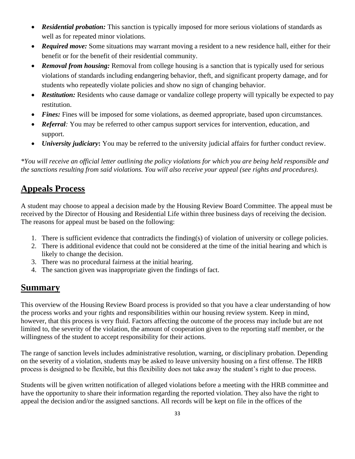- *Residential probation:* This sanction is typically imposed for more serious violations of standards as well as for repeated minor violations.
- *Required move:* Some situations may warrant moving a resident to a new residence hall, either for their benefit or for the benefit of their residential community.
- **Removal from housing:** Removal from college housing is a sanction that is typically used for serious violations of standards including endangering behavior, theft, and significant property damage, and for students who repeatedly violate policies and show no sign of changing behavior.
- *Restitution:* Residents who cause damage or vandalize college property will typically be expected to pay restitution.
- *Fines:* Fines will be imposed for some violations, as deemed appropriate, based upon circumstances.
- *Referral*: You may be referred to other campus support services for intervention, education, and support.
- *University judiciary***:** You may be referred to the university judicial affairs for further conduct review.

*\*You will receive an official letter outlining the policy violations for which you are being held responsible and the sanctions resulting from said violations. You will also receive your appeal (see rights and procedures).*

## **Appeals Process**

A student may choose to appeal a decision made by the Housing Review Board Committee. The appeal must be received by the Director of Housing and Residential Life within three business days of receiving the decision. The reasons for appeal must be based on the following:

- 1. There is sufficient evidence that contradicts the finding(s) of violation of university or college policies.
- 2. There is additional evidence that could not be considered at the time of the initial hearing and which is likely to change the decision.
- 3. There was no procedural fairness at the initial hearing.
- 4. The sanction given was inappropriate given the findings of fact.

## **Summary**

This overview of the Housing Review Board process is provided so that you have a clear understanding of how the process works and your rights and responsibilities within our housing review system. Keep in mind, however, that this process is very fluid. Factors affecting the outcome of the process may include but are not limited to, the severity of the violation, the amount of cooperation given to the reporting staff member, or the willingness of the student to accept responsibility for their actions.

The range of sanction levels includes administrative resolution, warning, or disciplinary probation. Depending on the severity of a violation, students may be asked to leave university housing on a first offense. The HRB process is designed to be flexible, but this flexibility does not take away the student's right to due process.

Students will be given written notification of alleged violations before a meeting with the HRB committee and have the opportunity to share their information regarding the reported violation. They also have the right to appeal the decision and/or the assigned sanctions. All records will be kept on file in the offices of the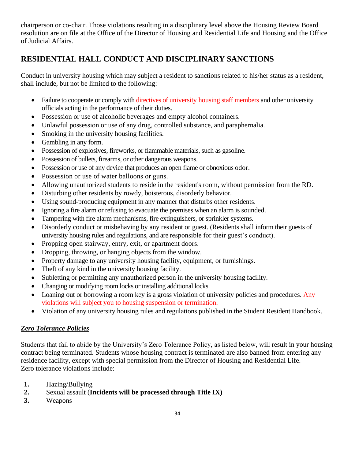chairperson or co-chair. Those violations resulting in a disciplinary level above the Housing Review Board resolution are on file at the Office of the Director of Housing and Residential Life and Housing and the Office of Judicial Affairs.

#### **RESIDENTIAL HALL CONDUCT AND DISCIPLINARY SANCTIONS**

Conduct in university housing which may subject a resident to sanctions related to his/her status as a resident, shall include, but not be limited to the following:

- Failure to cooperate or comply with directives of university housing staff members and other university officials acting in the performance of their duties.
- Possession or use of alcoholic beverages and empty alcohol containers.
- Unlawful possession or use of any drug, controlled substance, and paraphernalia.
- Smoking in the university housing facilities.
- Gambling in any form.
- Possession of explosives, fireworks, or flammable materials, such as gasoline.
- Possession of bullets, firearms, or other dangerous weapons.
- Possession or use of any device that produces an open flame or obnoxious odor.
- Possession or use of water balloons or guns.
- Allowing unauthorized students to reside in the resident's room, without permission from the RD.
- Disturbing other residents by rowdy, boisterous, disorderly behavior.
- Using sound-producing equipment in any manner that disturbs other residents.
- Ignoring a fire alarm or refusing to evacuate the premises when an alarm is sounded.
- Tampering with fire alarm mechanisms, fire extinguishers, or sprinkler systems.
- Disorderly conduct or misbehaving by any resident or guest. (Residents shall inform their guests of university housing rules and regulations, and are responsible for their guest's conduct).
- Propping open stairway, entry, exit, or apartment doors.
- Dropping, throwing, or hanging objects from the window.
- Property damage to any university housing facility, equipment, or furnishings.
- Theft of any kind in the university housing facility.
- Subletting or permitting any unauthorized person in the university housing facility.
- Changing or modifying room locks or installing additional locks.
- Loaning out or borrowing a room key is a gross violation of university policies and procedures. Any violations will subject you to housing suspension or termination.
- Violation of any university housing rules and regulations published in the Student Resident Handbook.

#### *Zero Tolerance Policies*

Students that fail to abide by the University's Zero Tolerance Policy, as listed below, will result in your housing contract being terminated. Students whose housing contract is terminated are also banned from entering any residence facility, except with special permission from the Director of Housing and Residential Life. Zero tolerance violations include:

- **1.** Hazing/Bullying
- **2.** Sexual assault (**Incidents will be processed through Title IX)**
- **3.** Weapons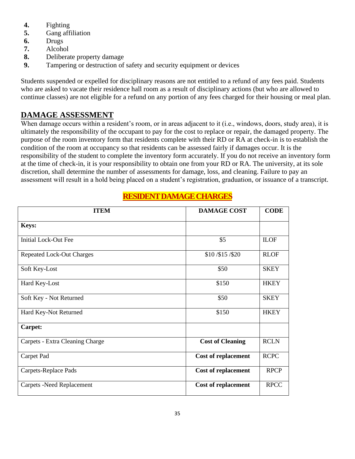- **4.** Fighting
- **5.** Gang affiliation
- **6.** Drugs
- **7.** Alcohol
- **8.** Deliberate property damage
- **9.** Tampering or destruction of safety and security equipment or devices

Students suspended or expelled for disciplinary reasons are not entitled to a refund of any fees paid. Students who are asked to vacate their residence hall room as a result of disciplinary actions (but who are allowed to continue classes) are not eligible for a refund on any portion of any fees charged for their housing or meal plan.

## **DAMAGE ASSESSMENT**

When damage occurs within a resident's room, or in areas adjacent to it (i.e., windows, doors, study area), it is ultimately the responsibility of the occupant to pay for the cost to replace or repair, the damaged property. The purpose of the room inventory form that residents complete with their RD or RA at check-in is to establish the condition of the room at occupancy so that residents can be assessed fairly if damages occur. It is the responsibility of the student to complete the inventory form accurately. If you do not receive an inventory form at the time of check-in, it is your responsibility to obtain one from your RD or RA. The university, at its sole discretion, shall determine the number of assessments for damage, loss, and cleaning. Failure to pay an assessment will result in a hold being placed on a student's registration, graduation, or issuance of a transcript.

| <b>ITEM</b>                      | <b>DAMAGE COST</b>         | <b>CODE</b> |
|----------------------------------|----------------------------|-------------|
| <b>Keys:</b>                     |                            |             |
| <b>Initial Lock-Out Fee</b>      | \$5                        | <b>ILOF</b> |
| <b>Repeated Lock-Out Charges</b> | \$10/\$15/\$20             | <b>RLOF</b> |
| Soft Key-Lost                    | \$50                       | <b>SKEY</b> |
| Hard Key-Lost                    | \$150                      | <b>HKEY</b> |
| Soft Key - Not Returned          | \$50                       | <b>SKEY</b> |
| Hard Key-Not Returned            | \$150                      | <b>HKEY</b> |
| Carpet:                          |                            |             |
| Carpets - Extra Cleaning Charge  | <b>Cost of Cleaning</b>    | <b>RCLN</b> |
| Carpet Pad                       | <b>Cost of replacement</b> | <b>RCPC</b> |
| Carpets-Replace Pads             | <b>Cost of replacement</b> | <b>RPCP</b> |
| <b>Carpets -Need Replacement</b> | <b>Cost of replacement</b> | <b>RPCC</b> |

## **RESIDENT DAMAGE CHARGES**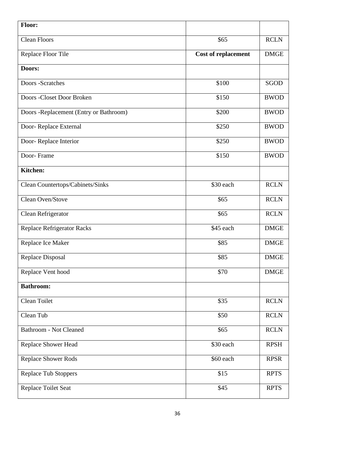| <b>Floor:</b>                          |                            |             |
|----------------------------------------|----------------------------|-------------|
| <b>Clean Floors</b>                    | \$65                       | <b>RCLN</b> |
| Replace Floor Tile                     | <b>Cost of replacement</b> | <b>DMGE</b> |
| Doors:                                 |                            |             |
| Doors -Scratches                       | \$100                      | SGOD        |
| Doors - Closet Door Broken             | \$150                      | <b>BWOD</b> |
| Doors -Replacement (Entry or Bathroom) | \$200                      | <b>BWOD</b> |
| Door-Replace External                  | \$250                      | <b>BWOD</b> |
| Door-Replace Interior                  | \$250                      | <b>BWOD</b> |
| Door-Frame                             | \$150                      | <b>BWOD</b> |
| Kitchen:                               |                            |             |
| Clean Countertops/Cabinets/Sinks       | \$30 each                  | <b>RCLN</b> |
| Clean Oven/Stove                       | \$65                       | <b>RCLN</b> |
| Clean Refrigerator                     | \$65                       | <b>RCLN</b> |
| <b>Replace Refrigerator Racks</b>      | \$45 each                  | <b>DMGE</b> |
| Replace Ice Maker                      | \$85                       | <b>DMGE</b> |
| Replace Disposal                       | \$85                       | <b>DMGE</b> |
| Replace Vent hood                      | \$70                       | <b>DMGE</b> |
| <b>Bathroom:</b>                       |                            |             |
| Clean Toilet                           | \$35                       | <b>RCLN</b> |
| Clean Tub                              | \$50                       | <b>RCLN</b> |
| <b>Bathroom - Not Cleaned</b>          | \$65                       | <b>RCLN</b> |
| Replace Shower Head                    | \$30 each                  | <b>RPSH</b> |
| <b>Replace Shower Rods</b>             | \$60 each                  | <b>RPSR</b> |
| <b>Replace Tub Stoppers</b>            | \$15                       | <b>RPTS</b> |
| Replace Toilet Seat                    | \$45                       | <b>RPTS</b> |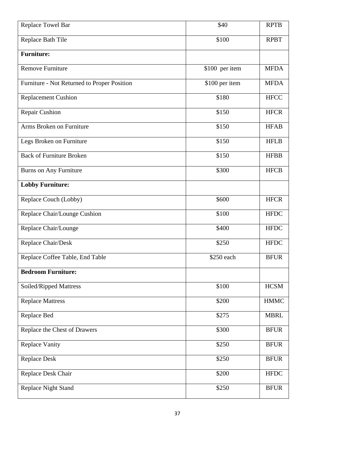| Replace Towel Bar                           | \$40           | <b>RPTB</b> |
|---------------------------------------------|----------------|-------------|
| Replace Bath Tile                           | \$100          | <b>RPBT</b> |
| <b>Furniture:</b>                           |                |             |
| Remove Furniture                            | \$100 per item | <b>MFDA</b> |
| Furniture - Not Returned to Proper Position | \$100 per item | <b>MFDA</b> |
| <b>Replacement Cushion</b>                  | \$180          | <b>HFCC</b> |
| Repair Cushion                              | \$150          | <b>HFCR</b> |
| Arms Broken on Furniture                    | \$150          | <b>HFAB</b> |
| Legs Broken on Furniture                    | \$150          | <b>HFLB</b> |
| <b>Back of Furniture Broken</b>             | \$150          | <b>HFBB</b> |
| Burns on Any Furniture                      | \$300          | <b>HFCB</b> |
| <b>Lobby Furniture:</b>                     |                |             |
| Replace Couch (Lobby)                       | \$600          | <b>HFCR</b> |
| Replace Chair/Lounge Cushion                | \$100          | <b>HFDC</b> |
| Replace Chair/Lounge                        | \$400          | <b>HFDC</b> |
| Replace Chair/Desk                          | \$250          | <b>HFDC</b> |
| Replace Coffee Table, End Table             | \$250 each     | <b>BFUR</b> |
| <b>Bedroom Furniture:</b>                   |                |             |
| Soiled/Ripped Mattress                      | \$100          | <b>HCSM</b> |
| <b>Replace Mattress</b>                     | \$200          | <b>HMMC</b> |
| Replace Bed                                 | \$275          | <b>MBRL</b> |
| Replace the Chest of Drawers                | \$300          | <b>BFUR</b> |
| Replace Vanity                              | \$250          | <b>BFUR</b> |
| Replace Desk                                | \$250          | <b>BFUR</b> |
| Replace Desk Chair                          | \$200          | <b>HFDC</b> |
| <b>Replace Night Stand</b>                  | \$250          | <b>BFUR</b> |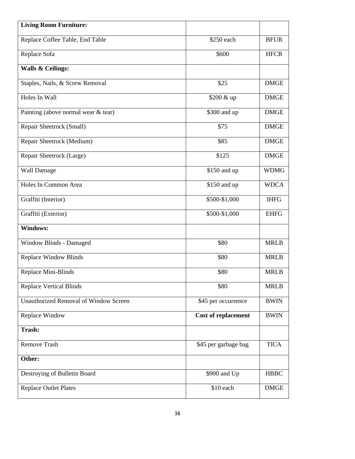| <b>Living Room Furniture:</b>                |                            |             |
|----------------------------------------------|----------------------------|-------------|
| Replace Coffee Table, End Table              | \$250 each                 | <b>BFUR</b> |
| Replace Sofa                                 | \$600                      | <b>HFCR</b> |
| Walls & Ceilings:                            |                            |             |
| Staples, Nails, & Screw Removal              | \$25                       | <b>DMGE</b> |
| Holes In Wall                                | \$200 & up                 | <b>DMGE</b> |
| Painting (above normal wear & tear)          | \$300 and up               | <b>DMGE</b> |
| Repair Sheetrock (Small)                     | \$75                       | <b>DMGE</b> |
| Repair Sheetrock (Medium)                    | \$85                       | <b>DMGE</b> |
| Repair Sheetrock (Large)                     | \$125                      | <b>DMGE</b> |
| <b>Wall Damage</b>                           | \$150 and up               | <b>WDMG</b> |
| Holes In Common Area                         | \$150 and up               | <b>WDCA</b> |
| Graffiti (Interior)                          | \$500-\$1,000              | <b>IHFG</b> |
| Graffiti (Exterior)                          | \$500-\$1,000              | <b>EHFG</b> |
| <b>Windows:</b>                              |                            |             |
| Window Blinds - Damaged                      | \$80                       | <b>MRLB</b> |
| <b>Replace Window Blinds</b>                 | \$80                       | <b>MRLB</b> |
| Replace Mini-Blinds                          | \$80                       | <b>MRLB</b> |
| <b>Replace Vertical Blinds</b>               | \$80                       | <b>MRLB</b> |
| <b>Unauthorized Removal of Window Screen</b> | \$45 per occurrence        | <b>BWIN</b> |
| Replace Window                               | <b>Cost of replacement</b> | <b>BWIN</b> |
| <b>Trash:</b>                                |                            |             |
| <b>Remove Trash</b>                          | \$45 per garbage bag       | <b>TICA</b> |
| Other:                                       |                            |             |
| Destroying of Bulletin Board                 | \$900 and Up               | <b>HBBC</b> |
| <b>Replace Outlet Plates</b>                 | $$10$ each                 | <b>DMGE</b> |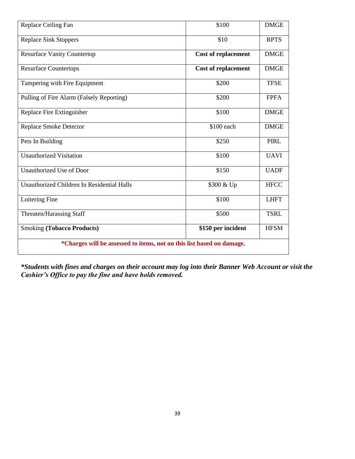| Replace Ceiling Fan                                                   | \$100                      | <b>DMGE</b> |
|-----------------------------------------------------------------------|----------------------------|-------------|
| <b>Replace Sink Stoppers</b>                                          | \$10                       | <b>RPTS</b> |
| <b>Resurface Vanity Countertop</b>                                    | <b>Cost of replacement</b> | <b>DMGE</b> |
| <b>Resurface Countertops</b>                                          | <b>Cost of replacement</b> | <b>DMGE</b> |
| Tampering with Fire Equipment                                         | \$200                      | <b>TFSE</b> |
| Pulling of Fire Alarm (Falsely Reporting)                             | \$200                      | <b>FPFA</b> |
| Replace Fire Extinguisher                                             | \$100                      | <b>DMGE</b> |
| Replace Smoke Detector                                                | \$100 each                 | <b>DMGE</b> |
| Pets In Building                                                      | \$250                      | <b>PIRL</b> |
| <b>Unauthorized Visitation</b>                                        | \$100                      | <b>UAVI</b> |
| Unauthorized Use of Door                                              | \$150                      | <b>UADF</b> |
| Unauthorized Children In Residential Halls                            | \$300 & Up                 | <b>HFCC</b> |
| Loitering Fine                                                        | \$100                      | <b>LHFT</b> |
| Threaten/Harassing Staff                                              | \$500                      | <b>TSRL</b> |
| <b>Smoking (Tobacco Products)</b>                                     | \$150 per incident         | <b>HFSM</b> |
| *Charges will be assessed to items, not on this list based on damage. |                            |             |

*\*Students with fines and charges on their account may log into their Banner Web Account or visit the Cashier's Office to pay the fine and have holds removed.*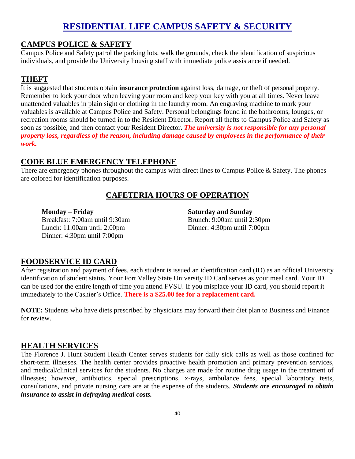## **RESIDENTIAL LIFE CAMPUS SAFETY & SECURITY**

#### **CAMPUS POLICE & SAFETY**

Campus Police and Safety patrol the parking lots, walk the grounds, check the identification of suspicious individuals, and provide the University housing staff with immediate police assistance if needed.

#### **THEFT**

It is suggested that students obtain **insurance protection** against loss, damage, or theft of personal property. Remember to lock your door when leaving your room and keep your key with you at all times. Never leave unattended valuables in plain sight or clothing in the laundry room. An engraving machine to mark your valuables is available at Campus Police and Safety. Personal belongings found in the bathrooms, lounges, or recreation rooms should be turned in to the Resident Director. Report all thefts to Campus Police and Safety as soon as possible, and then contact your Resident Director**.** *The university is not responsible for any personal property loss, regardless of the reason, including damage caused by employees in the performance of their work.*

#### **CODE BLUE EMERGENCY TELEPHONE**

There are emergency phones throughout the campus with direct lines to Campus Police & Safety. The phones are colored for identification purposes.

## **CAFETERIA HOURS OF OPERATION**

#### **Monday – Friday**

Breakfast: 7:00am until 9:30am Lunch: 11:00am until 2:00pm Dinner: 4:30pm until 7:00pm

**Saturday and Sunday** Brunch: 9:00am until 2:30pm Dinner: 4:30pm until 7:00pm

#### **FOODSERVICE ID CARD**

After registration and payment of fees, each student is issued an identification card (ID) as an official University identification of student status. Your Fort Valley State University ID Card serves as your meal card. Your ID can be used for the entire length of time you attend FVSU. If you misplace your ID card, you should report it immediately to the Cashier's Office. **There is a \$25.00 fee for a replacement card.**

**NOTE:** Students who have diets prescribed by physicians may forward their diet plan to Business and Finance for review.

#### **HEALTH SERVICES**

The Florence J. Hunt Student Health Center serves students for daily sick calls as well as those confined for short-term illnesses. The health center provides proactive health promotion and primary prevention services, and medical/clinical services for the students. No charges are made for routine drug usage in the treatment of illnesses; however, antibiotics, special prescriptions, x-rays, ambulance fees, special laboratory tests, consultations, and private nursing care are at the expense of the students. *Students are encouraged to obtain insurance to assist in defraying medical costs.*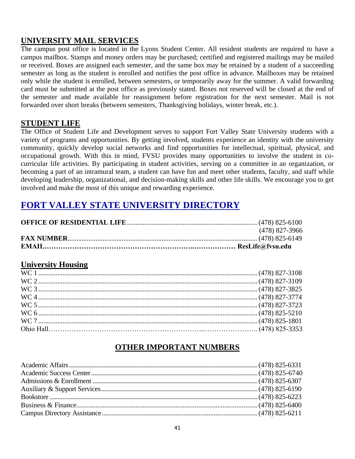## **UNIVERSITY MAIL SERVICES**

The campus post office is located in the Lyons Student Center. All resident students are required to have a campus mailbox. Stamps and money orders may be purchased; certified and registered mailings may be mailed or received. Boxes are assigned each semester, and the same box may be retained by a student of a succeeding semester as long as the student is enrolled and notifies the post office in advance. Mailboxes may be retained only while the student is enrolled, between semesters, or temporarily away for the summer. A valid forwarding card must be submitted at the post office as previously stated. Boxes not reserved will be closed at the end of the semester and made available for reassignment before registration for the next semester. Mail is not forwarded over short breaks (between semesters, Thanksgiving holidays, winter break, etc.).

#### **STUDENT LIFE**

The Office of Student Life and Development serves to support Fort Valley State University students with a variety of programs and opportunities. By getting involved, students experience an identity with the university community, quickly develop social networks and find opportunities for intellectual, spiritual, physical, and occupational growth. With this in mind, FVSU provides many opportunities to involve the student in cocurricular life activities. By participating in student activities, serving on a committee in an organization, or becoming a part of an intramural team, a student can have fun and meet other students, faculty, and staff while developing leadership, organizational, and decision-making skills and other life skills. We encourage you to get involved and make the most of this unique and rewarding experience.

# **FORT VALLEY STATE UNIVERSITY DIRECTORY**

| (478) 827-3966 |
|----------------|
|                |
|                |

## **University Housing**

## **OTHER IMPORTANT NUMBERS**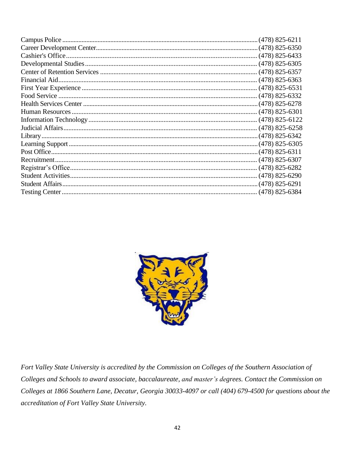

Fort Valley State University is accredited by the Commission on Colleges of the Southern Association of Colleges and Schools to award associate, baccalaureate, and master's degrees. Contact the Commission on Colleges at 1866 Southern Lane, Decatur, Georgia 30033-4097 or call (404) 679-4500 for questions about the accreditation of Fort Valley State University.